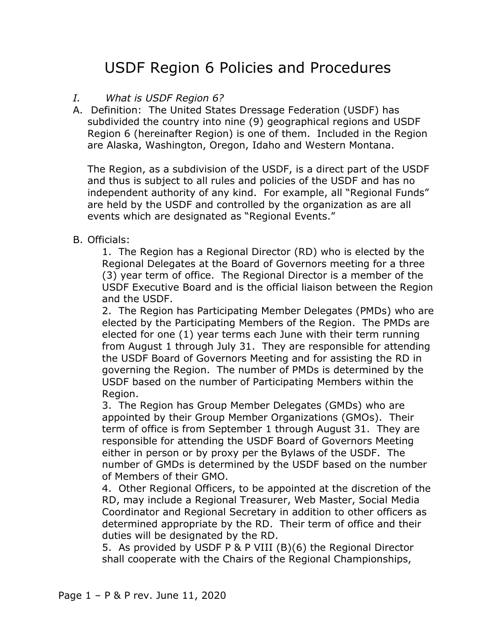## USDF Region 6 Policies and Procedures

## *I. What is USDF Region 6?*

A. Definition: The United States Dressage Federation (USDF) has subdivided the country into nine (9) geographical regions and USDF Region 6 (hereinafter Region) is one of them. Included in the Region are Alaska, Washington, Oregon, Idaho and Western Montana.

The Region, as a subdivision of the USDF, is a direct part of the USDF and thus is subject to all rules and policies of the USDF and has no independent authority of any kind. For example, all "Regional Funds" are held by the USDF and controlled by the organization as are all events which are designated as "Regional Events."

## B. Officials:

1. The Region has a Regional Director (RD) who is elected by the Regional Delegates at the Board of Governors meeting for a three (3) year term of office. The Regional Director is a member of the USDF Executive Board and is the official liaison between the Region and the USDF.

2. The Region has Participating Member Delegates (PMDs) who are elected by the Participating Members of the Region. The PMDs are elected for one (1) year terms each June with their term running from August 1 through July 31. They are responsible for attending the USDF Board of Governors Meeting and for assisting the RD in governing the Region. The number of PMDs is determined by the USDF based on the number of Participating Members within the Region.

3. The Region has Group Member Delegates (GMDs) who are appointed by their Group Member Organizations (GMOs). Their term of office is from September 1 through August 31. They are responsible for attending the USDF Board of Governors Meeting either in person or by proxy per the Bylaws of the USDF. The number of GMDs is determined by the USDF based on the number of Members of their GMO.

4. Other Regional Officers, to be appointed at the discretion of the RD, may include a Regional Treasurer, Web Master, Social Media Coordinator and Regional Secretary in addition to other officers as determined appropriate by the RD. Their term of office and their duties will be designated by the RD.

5. As provided by USDF P & P VIII (B)(6) the Regional Director shall cooperate with the Chairs of the Regional Championships,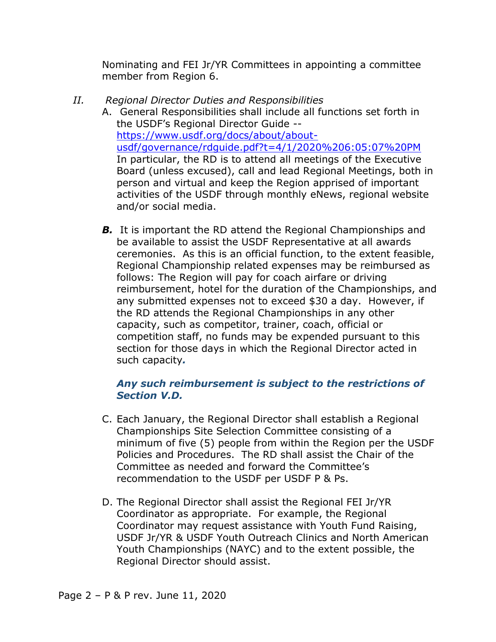Nominating and FEI Jr/YR Committees in appointing a committee member from Region 6.

- *II. Regional Director Duties and Responsibilities*
	- A. General Responsibilities shall include all functions set forth in the USDF's Regional Director Guide - [https://www.usdf.org/docs/about/about](https://www.usdf.org/docs/about/about-usdf/governance/rdguide.pdf?t=4/1/2020%206:05:07%20PM)[usdf/governance/rdguide.pdf?t=4/1/2020%206:05:07%20PM](https://www.usdf.org/docs/about/about-usdf/governance/rdguide.pdf?t=4/1/2020%206:05:07%20PM) In particular, the RD is to attend all meetings of the Executive Board (unless excused), call and lead Regional Meetings, both in person and virtual and keep the Region apprised of important activities of the USDF through monthly eNews, regional website and/or social media.
		- **B.** It is important the RD attend the Regional Championships and be available to assist the USDF Representative at all awards ceremonies. As this is an official function, to the extent feasible, Regional Championship related expenses may be reimbursed as follows: The Region will pay for coach airfare or driving reimbursement, hotel for the duration of the Championships, and any submitted expenses not to exceed \$30 a day. However, if the RD attends the Regional Championships in any other capacity, such as competitor, trainer, coach, official or competition staff, no funds may be expended pursuant to this section for those days in which the Regional Director acted in such capacity*.*

## *Any such reimbursement is subject to the restrictions of Section V.D.*

- C. Each January, the Regional Director shall establish a Regional Championships Site Selection Committee consisting of a minimum of five (5) people from within the Region per the USDF Policies and Procedures. The RD shall assist the Chair of the Committee as needed and forward the Committee's recommendation to the USDF per USDF P & Ps.
- D. The Regional Director shall assist the Regional FEI Jr/YR Coordinator as appropriate. For example, the Regional Coordinator may request assistance with Youth Fund Raising, USDF Jr/YR & USDF Youth Outreach Clinics and North American Youth Championships (NAYC) and to the extent possible, the Regional Director should assist.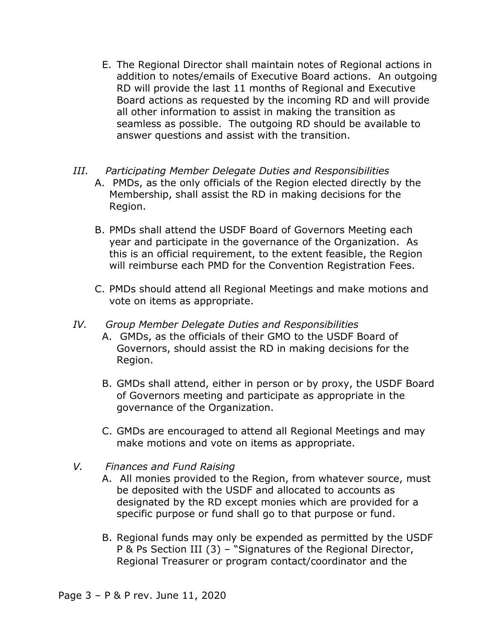- E. The Regional Director shall maintain notes of Regional actions in addition to notes/emails of Executive Board actions. An outgoing RD will provide the last 11 months of Regional and Executive Board actions as requested by the incoming RD and will provide all other information to assist in making the transition as seamless as possible. The outgoing RD should be available to answer questions and assist with the transition.
- *III. Participating Member Delegate Duties and Responsibilities*
	- A. PMDs, as the only officials of the Region elected directly by the Membership, shall assist the RD in making decisions for the Region.
	- B. PMDs shall attend the USDF Board of Governors Meeting each year and participate in the governance of the Organization. As this is an official requirement, to the extent feasible, the Region will reimburse each PMD for the Convention Registration Fees.
	- C. PMDs should attend all Regional Meetings and make motions and vote on items as appropriate.
- *IV. Group Member Delegate Duties and Responsibilities*
	- A. GMDs, as the officials of their GMO to the USDF Board of Governors, should assist the RD in making decisions for the Region.
	- B. GMDs shall attend, either in person or by proxy, the USDF Board of Governors meeting and participate as appropriate in the governance of the Organization.
	- C. GMDs are encouraged to attend all Regional Meetings and may make motions and vote on items as appropriate.
- *V. Finances and Fund Raising*
	- A. All monies provided to the Region, from whatever source, must be deposited with the USDF and allocated to accounts as designated by the RD except monies which are provided for a specific purpose or fund shall go to that purpose or fund.
	- B. Regional funds may only be expended as permitted by the USDF P & Ps Section III (3) – "Signatures of the Regional Director, Regional Treasurer or program contact/coordinator and the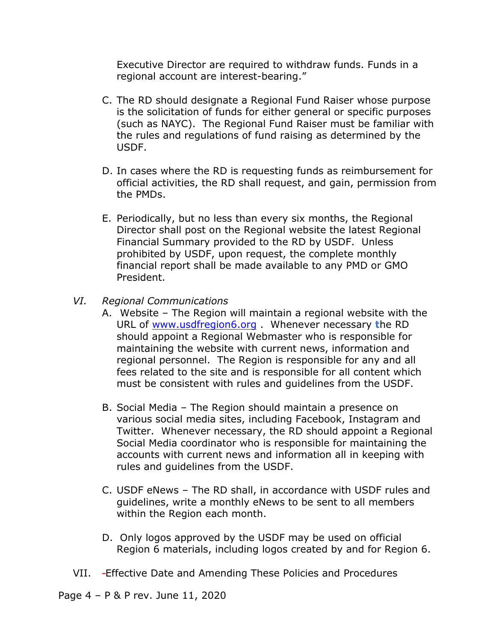Executive Director are required to withdraw funds. Funds in a regional account are interest-bearing."

- C. The RD should designate a Regional Fund Raiser whose purpose is the solicitation of funds for either general or specific purposes (such as NAYC). The Regional Fund Raiser must be familiar with the rules and regulations of fund raising as determined by the USDF.
- D. In cases where the RD is requesting funds as reimbursement for official activities, the RD shall request, and gain, permission from the PMDs.
- E. Periodically, but no less than every six months, the Regional Director shall post on the Regional website the latest Regional Financial Summary provided to the RD by USDF. Unless prohibited by USDF, upon request, the complete monthly financial report shall be made available to any PMD or GMO President.
- *VI. Regional Communications*
	- A. Website The Region will maintain a regional website with the URL of [www.usdfregion6.org](http://www.usdfregion6.org/) . Whenever necessary **t**he RD should appoint a Regional Webmaster who is responsible for maintaining the website with current news, information and regional personnel. The Region is responsible for any and all fees related to the site and is responsible for all content which must be consistent with rules and guidelines from the USDF.
	- B. Social Media The Region should maintain a presence on various social media sites, including Facebook, Instagram and Twitter. Whenever necessary, the RD should appoint a Regional Social Media coordinator who is responsible for maintaining the accounts with current news and information all in keeping with rules and guidelines from the USDF.
	- C. USDF eNews The RD shall, in accordance with USDF rules and guidelines, write a monthly eNews to be sent to all members within the Region each month.
	- D. Only logos approved by the USDF may be used on official Region 6 materials, including logos created by and for Region 6.
- VII. Effective Date and Amending These Policies and Procedures
- Page 4 P & P rev. June 11, 2020